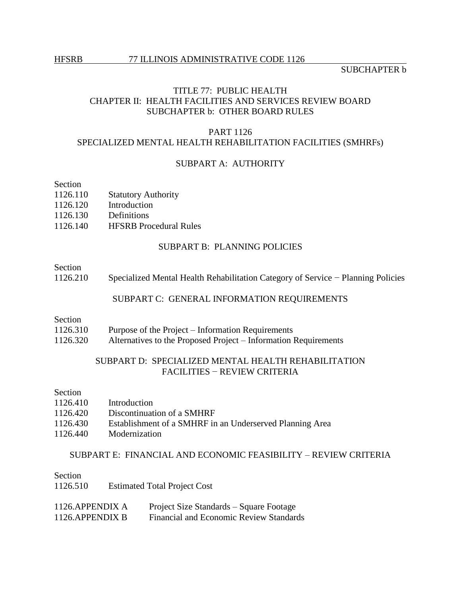SUBCHAPTER b

# TITLE 77: PUBLIC HEALTH CHAPTER II: HEALTH FACILITIES AND SERVICES REVIEW BOARD SUBCHAPTER b: OTHER BOARD RULES

#### PART 1126

# SPECIALIZED MENTAL HEALTH REHABILITATION FACILITIES (SMHRFs)

# SUBPART A: AUTHORITY

# Section

- 1126.110 Statutory Authority
- 1126.120 Introduction<br>1126.130 Definitions
- 1126.130
- 1126.140 HFSRB Procedural Rules

## SUBPART B: PLANNING POLICIES

## Section

1126.210 Specialized Mental Health Rehabilitation Category of Service − Planning Policies

#### SUBPART C: GENERAL INFORMATION REQUIREMENTS

## Section

- 1126.310 Purpose of the Project Information Requirements
- 1126.320 Alternatives to the Proposed Project Information Requirements

# SUBPART D: SPECIALIZED MENTAL HEALTH REHABILITATION FACILITIES − REVIEW CRITERIA

# Section

| 1126.410 | Introduction                                             |
|----------|----------------------------------------------------------|
| 1126.420 | Discontinuation of a SMHRF                               |
| 1126.430 | Establishment of a SMHRF in an Underserved Planning Area |
| 1126.440 | Modernization                                            |

#### SUBPART E: FINANCIAL AND ECONOMIC FEASIBILITY – REVIEW CRITERIA

Section 1126.510 Estimated Total Project Cost

| 1126.APPENDIX A | Project Size Standards – Square Footage        |
|-----------------|------------------------------------------------|
| 1126.APPENDIX B | <b>Financial and Economic Review Standards</b> |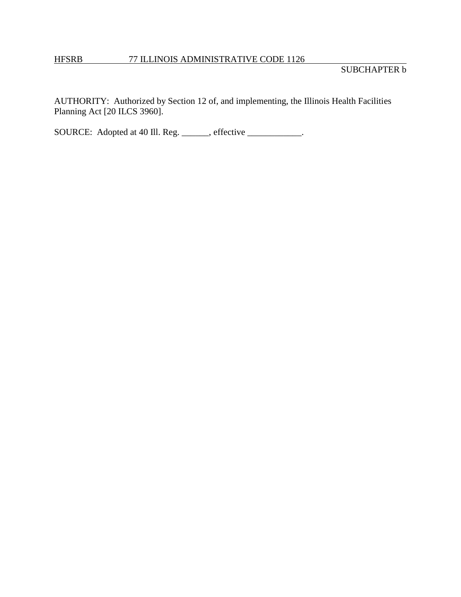# HFSRB 77 ILLINOIS ADMINISTRATIVE CODE 1126

AUTHORITY: Authorized by Section 12 of, and implementing, the Illinois Health Facilities Planning Act [20 ILCS 3960].

SOURCE: Adopted at 40 Ill. Reg. \_\_\_\_\_, effective \_\_\_\_\_\_\_\_\_\_.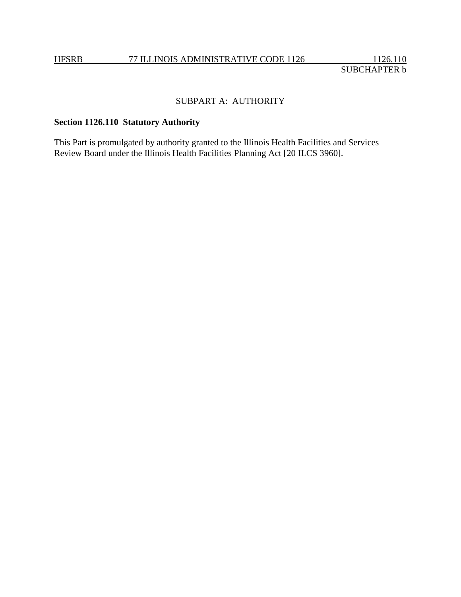# SUBPART A: AUTHORITY

# **Section 1126.110 Statutory Authority**

This Part is promulgated by authority granted to the Illinois Health Facilities and Services Review Board under the Illinois Health Facilities Planning Act [20 ILCS 3960].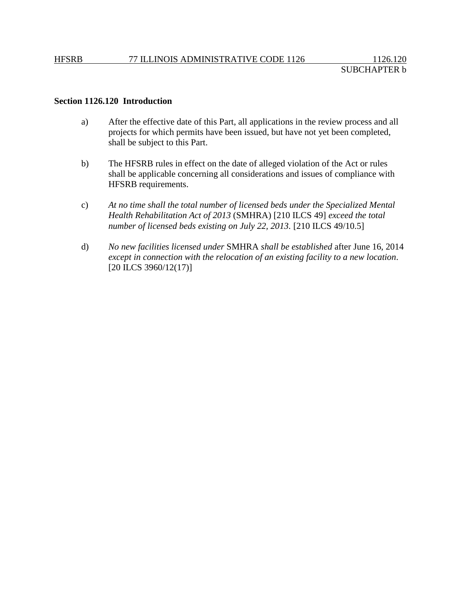## **Section 1126.120 Introduction**

- a) After the effective date of this Part, all applications in the review process and all projects for which permits have been issued, but have not yet been completed, shall be subject to this Part.
- b) The HFSRB rules in effect on the date of alleged violation of the Act or rules shall be applicable concerning all considerations and issues of compliance with HFSRB requirements.
- c) *At no time shall the total number of licensed beds under the Specialized Mental Health Rehabilitation Act of 2013* (SMHRA) [210 ILCS 49] *exceed the total number of licensed beds existing on July 22, 2013.* [210 ILCS 49/10.5]
- d) *No new facilities licensed under* SMHRA *shall be established* after June 16, 2014 *except in connection with the relocation of an existing facility to a new location*. [20 ILCS 3960/12(17)]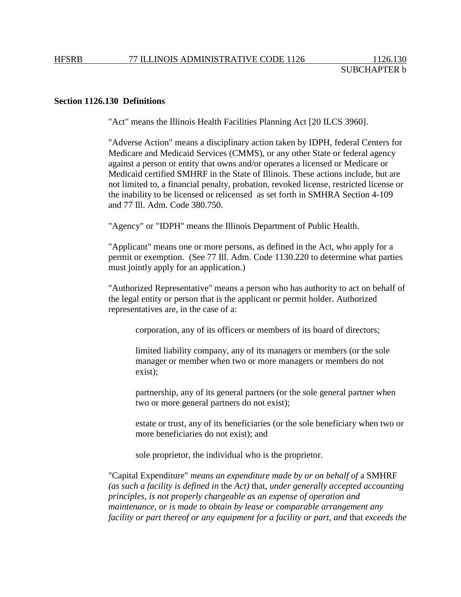# **Section 1126.130 Definitions**

"Act" means the Illinois Health Facilities Planning Act [20 ILCS 3960].

"Adverse Action" means a disciplinary action taken by IDPH, federal Centers for Medicare and Medicaid Services (CMMS), or any other State or federal agency against a person or entity that owns and/or operates a licensed or Medicare or Medicaid certified SMHRF in the State of Illinois. These actions include, but are not limited to, a financial penalty, probation, revoked license, restricted license or the inability to be licensed or relicensed as set forth in SMHRA Section 4-109 and 77 Ill. Adm. Code 380.750.

"Agency" or "IDPH" means the Illinois Department of Public Health.

"Applicant" means one or more persons, as defined in the Act, who apply for a permit or exemption. (See 77 Ill. Adm. Code 1130.220 to determine what parties must jointly apply for an application.)

"Authorized Representative" means a person who has authority to act on behalf of the legal entity or person that is the applicant or permit holder. Authorized representatives are, in the case of a:

corporation, any of its officers or members of its board of directors;

limited liability company, any of its managers or members (or the sole manager or member when two or more managers or members do not exist);

partnership, any of its general partners (or the sole general partner when two or more general partners do not exist);

estate or trust, any of its beneficiaries (or the sole beneficiary when two or more beneficiaries do not exist); and

sole proprietor, the individual who is the proprietor.

"Capital Expenditure" *means an expenditure made by or on behalf of* a SMHRF *(as such a facility is defined in* the *Act)* that*, under generally accepted accounting principles, is not properly chargeable as an expense of operation and maintenance, or is made to obtain by lease or comparable arrangement any facility or part thereof or any equipment for a facility or part, and* that *exceeds the*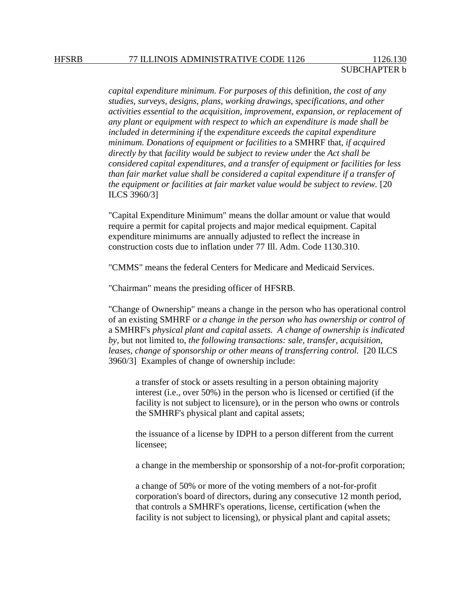*capital expenditure minimum. For purposes of this* definition*, the cost of any studies, surveys, designs, plans, working drawings, specifications, and other activities essential to the acquisition, improvement, expansion, or replacement of any plant or equipment with respect to which an expenditure is made shall be included in determining if* the *expenditure exceeds the capital expenditure minimum. Donations of equipment or facilities to* a SMHRF that, *if acquired directly by* that *facility would be subject to review under* the *Act shall be considered capital expenditures, and a transfer of equipment or facilities for less than fair market value shall be considered a capital expenditure if a transfer of the equipment or facilities at fair market value would be subject to review.* [20 ILCS 3960/3]

"Capital Expenditure Minimum" means the dollar amount or value that would require a permit for capital projects and major medical equipment. Capital expenditure minimums are annually adjusted to reflect the increase in construction costs due to inflation under 77 Ill. Adm. Code 1130.310.

"CMMS" means the federal Centers for Medicare and Medicaid Services.

"Chairman" means the presiding officer of HFSRB.

"Change of Ownership" means a change in the person who has operational control of an existing SMHRF or *a change in the person who has ownership or control of*  a SMHRF's *physical plant and capital assets. A change of ownership is indicated by,* but not limited to, *the following transactions: sale, transfer, acquisition, leases, change of sponsorship or other means of transferring control.* [20 ILCS 3960/3] Examples of change of ownership include:

a transfer of stock or assets resulting in a person obtaining majority interest (i.e., over 50%) in the person who is licensed or certified (if the facility is not subject to licensure), or in the person who owns or controls the SMHRF's physical plant and capital assets;

the issuance of a license by IDPH to a person different from the current licensee;

a change in the membership or sponsorship of a not-for-profit corporation;

a change of 50% or more of the voting members of a not-for-profit corporation's board of directors, during any consecutive 12 month period, that controls a SMHRF's operations, license, certification (when the facility is not subject to licensing), or physical plant and capital assets;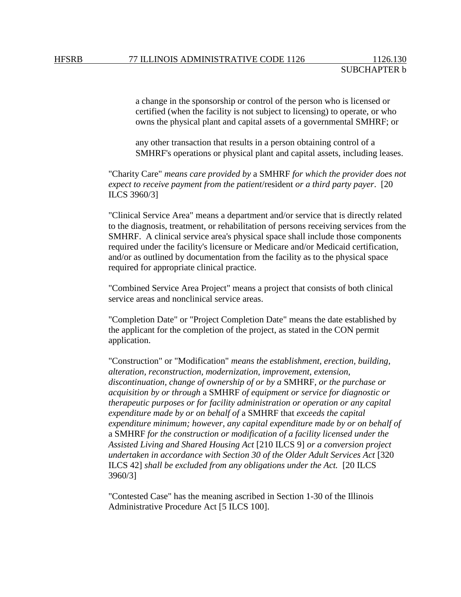a change in the sponsorship or control of the person who is licensed or certified (when the facility is not subject to licensing) to operate, or who owns the physical plant and capital assets of a governmental SMHRF; or

any other transaction that results in a person obtaining control of a SMHRF's operations or physical plant and capital assets, including leases.

"Charity Care" *means care provided by* a SMHRF *for which the provider does not expect to receive payment from the patient*/resident *or a third party payer*. [20 ILCS 3960/3]

"Clinical Service Area" means a department and/or service that is directly related to the diagnosis, treatment, or rehabilitation of persons receiving services from the SMHRF. A clinical service area's physical space shall include those components required under the facility's licensure or Medicare and/or Medicaid certification, and/or as outlined by documentation from the facility as to the physical space required for appropriate clinical practice.

"Combined Service Area Project" means a project that consists of both clinical service areas and nonclinical service areas.

"Completion Date" or "Project Completion Date" means the date established by the applicant for the completion of the project, as stated in the CON permit application.

"Construction" or "Modification" *means the establishment, erection, building, alteration, reconstruction, modernization, improvement, extension, discontinuation, change of ownership of or by a* SMHRF*, or the purchase or acquisition by or through* a SMHRF *of equipment or service for diagnostic or therapeutic purposes or for facility administration or operation or any capital expenditure made by or on behalf of* a SMHRF that *exceeds the capital expenditure minimum; however, any capital expenditure made by or on behalf of*  a SMHRF *for the construction or modification of a facility licensed under the Assisted Living and Shared Housing Act* [210 ILCS 9] *or a conversion project undertaken in accordance with Section 30 of the Older Adult Services Act* [320 ILCS 42] *shall be excluded from any obligations under the Act.* [20 ILCS 3960/3]

"Contested Case" has the meaning ascribed in Section 1-30 of the Illinois Administrative Procedure Act [5 ILCS 100].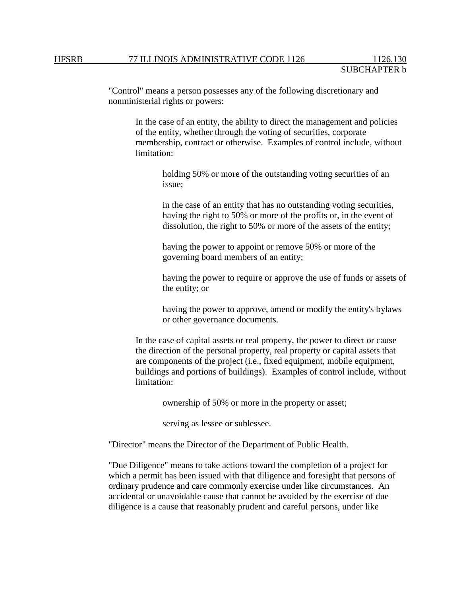"Control" means a person possesses any of the following discretionary and nonministerial rights or powers:

In the case of an entity, the ability to direct the management and policies of the entity, whether through the voting of securities, corporate membership, contract or otherwise. Examples of control include, without limitation:

holding 50% or more of the outstanding voting securities of an issue;

in the case of an entity that has no outstanding voting securities, having the right to 50% or more of the profits or, in the event of dissolution, the right to 50% or more of the assets of the entity;

having the power to appoint or remove 50% or more of the governing board members of an entity;

having the power to require or approve the use of funds or assets of the entity; or

having the power to approve, amend or modify the entity's bylaws or other governance documents.

In the case of capital assets or real property, the power to direct or cause the direction of the personal property, real property or capital assets that are components of the project (i.e., fixed equipment, mobile equipment, buildings and portions of buildings). Examples of control include, without limitation:

ownership of 50% or more in the property or asset;

serving as lessee or sublessee.

"Director" means the Director of the Department of Public Health.

"Due Diligence" means to take actions toward the completion of a project for which a permit has been issued with that diligence and foresight that persons of ordinary prudence and care commonly exercise under like circumstances. An accidental or unavoidable cause that cannot be avoided by the exercise of due diligence is a cause that reasonably prudent and careful persons, under like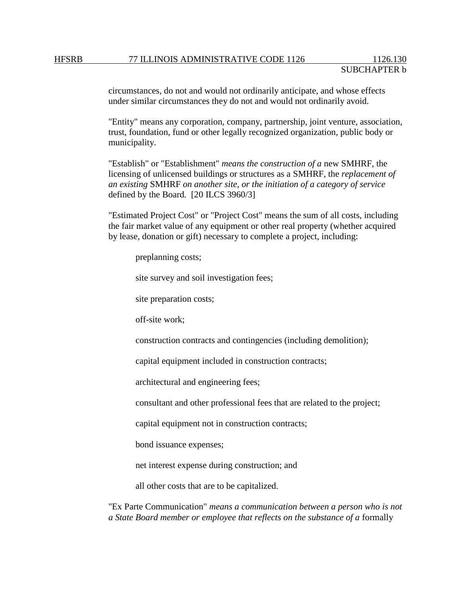circumstances, do not and would not ordinarily anticipate, and whose effects under similar circumstances they do not and would not ordinarily avoid.

"Entity" means any corporation, company, partnership, joint venture, association, trust, foundation, fund or other legally recognized organization, public body or municipality.

"Establish" or "Establishment" *means the construction of a* new SMHRF*,* the licensing of unlicensed buildings or structures as a SMHRF, the *replacement of an existing* SMHRF *on another site, or the initiation of a category of service*  defined by the Board*.* [20 ILCS 3960/3]

"Estimated Project Cost" or "Project Cost" means the sum of all costs, including the fair market value of any equipment or other real property (whether acquired by lease, donation or gift) necessary to complete a project, including:

preplanning costs;

site survey and soil investigation fees;

site preparation costs;

off-site work;

construction contracts and contingencies (including demolition);

capital equipment included in construction contracts;

architectural and engineering fees;

consultant and other professional fees that are related to the project;

capital equipment not in construction contracts;

bond issuance expenses;

net interest expense during construction; and

all other costs that are to be capitalized.

"Ex Parte Communication" *means a communication between a person who is not a State Board member or employee that reflects on the substance of a* formally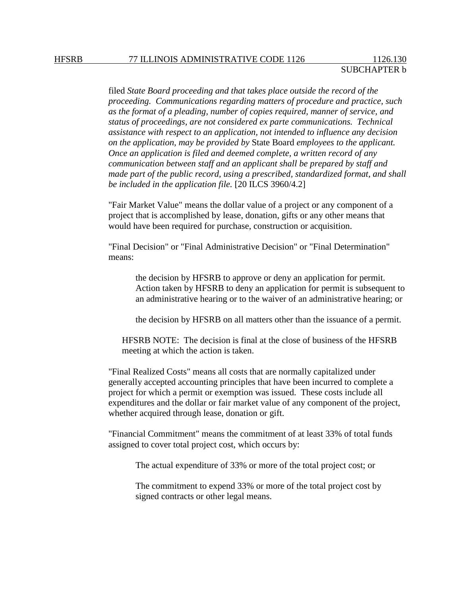filed *State Board proceeding and that takes place outside the record of the proceeding. Communications regarding matters of procedure and practice, such as the format of a pleading, number of copies required, manner of service, and status of proceedings, are not considered ex parte communications. Technical assistance with respect to an application, not intended to influence any decision on the application, may be provided by* State Board *employees to the applicant. Once an application is filed and deemed complete, a written record of any communication between staff and an applicant shall be prepared by staff and made part of the public record, using a prescribed, standardized format, and shall be included in the application file.* [20 ILCS 3960/4.2]

"Fair Market Value" means the dollar value of a project or any component of a project that is accomplished by lease, donation, gifts or any other means that would have been required for purchase, construction or acquisition.

"Final Decision" or "Final Administrative Decision" or "Final Determination" means:

the decision by HFSRB to approve or deny an application for permit. Action taken by HFSRB to deny an application for permit is subsequent to an administrative hearing or to the waiver of an administrative hearing; or

the decision by HFSRB on all matters other than the issuance of a permit.

HFSRB NOTE: The decision is final at the close of business of the HFSRB meeting at which the action is taken.

"Final Realized Costs" means all costs that are normally capitalized under generally accepted accounting principles that have been incurred to complete a project for which a permit or exemption was issued. These costs include all expenditures and the dollar or fair market value of any component of the project, whether acquired through lease, donation or gift.

"Financial Commitment" means the commitment of at least 33% of total funds assigned to cover total project cost, which occurs by:

The actual expenditure of 33% or more of the total project cost; or

The commitment to expend 33% or more of the total project cost by signed contracts or other legal means.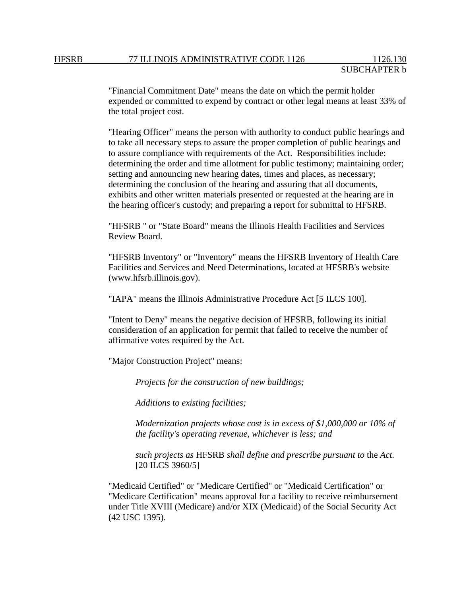"Financial Commitment Date" means the date on which the permit holder expended or committed to expend by contract or other legal means at least 33% of the total project cost.

"Hearing Officer" means the person with authority to conduct public hearings and to take all necessary steps to assure the proper completion of public hearings and to assure compliance with requirements of the Act. Responsibilities include: determining the order and time allotment for public testimony; maintaining order; setting and announcing new hearing dates, times and places, as necessary; determining the conclusion of the hearing and assuring that all documents, exhibits and other written materials presented or requested at the hearing are in the hearing officer's custody; and preparing a report for submittal to HFSRB.

"HFSRB " or "State Board" means the Illinois Health Facilities and Services Review Board.

"HFSRB Inventory" or "Inventory" means the HFSRB Inventory of Health Care Facilities and Services and Need Determinations, located at HFSRB's website (www.hfsrb.illinois.gov).

"IAPA" means the Illinois Administrative Procedure Act [5 ILCS 100].

"Intent to Deny" means the negative decision of HFSRB, following its initial consideration of an application for permit that failed to receive the number of affirmative votes required by the Act.

"Major Construction Project" means:

*Projects for the construction of new buildings;*

*Additions to existing facilities;*

*Modernization projects whose cost is in excess of \$1,000,000 or 10% of the facility's operating revenue, whichever is less; and*

*such projects as* HFSRB *shall define and prescribe pursuant to* the *Act.*  [20 ILCS 3960/5]

"Medicaid Certified" or "Medicare Certified" or "Medicaid Certification" or "Medicare Certification" means approval for a facility to receive reimbursement under Title XVIII (Medicare) and/or XIX (Medicaid) of the Social Security Act (42 USC 1395).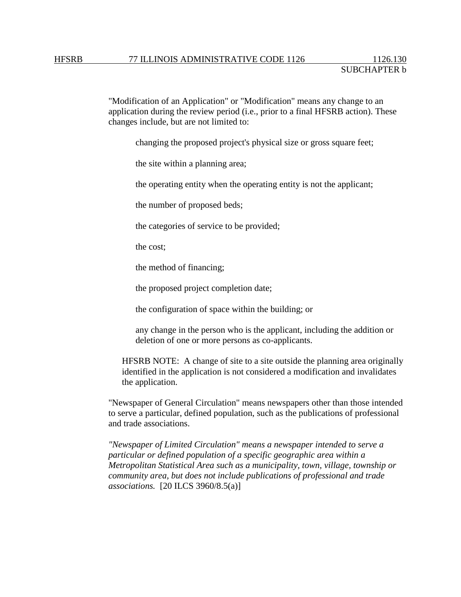"Modification of an Application" or "Modification" means any change to an application during the review period (i.e., prior to a final HFSRB action). These changes include, but are not limited to:

changing the proposed project's physical size or gross square feet;

the site within a planning area;

the operating entity when the operating entity is not the applicant;

the number of proposed beds;

the categories of service to be provided;

the cost;

the method of financing;

the proposed project completion date;

the configuration of space within the building; or

any change in the person who is the applicant, including the addition or deletion of one or more persons as co-applicants.

HFSRB NOTE: A change of site to a site outside the planning area originally identified in the application is not considered a modification and invalidates the application.

"Newspaper of General Circulation" means newspapers other than those intended to serve a particular, defined population, such as the publications of professional and trade associations.

*"Newspaper of Limited Circulation" means a newspaper intended to serve a particular or defined population of a specific geographic area within a Metropolitan Statistical Area such as a municipality, town, village, township or community area, but does not include publications of professional and trade associations.* [20 ILCS 3960/8.5(a)]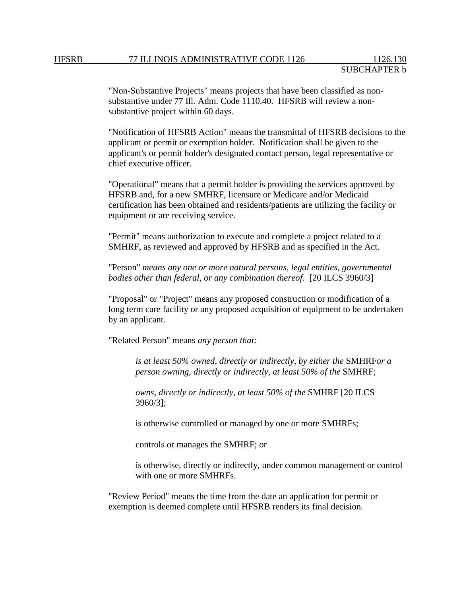"Non-Substantive Projects" means projects that have been classified as nonsubstantive under 77 Ill. Adm. Code 1110.40. HFSRB will review a nonsubstantive project within 60 days.

"Notification of HFSRB Action" means the transmittal of HFSRB decisions to the applicant or permit or exemption holder. Notification shall be given to the applicant's or permit holder's designated contact person, legal representative or chief executive officer.

"Operational" means that a permit holder is providing the services approved by HFSRB and, for a new SMHRF, licensure or Medicare and/or Medicaid certification has been obtained and residents/patients are utilizing the facility or equipment or are receiving service.

"Permit" means authorization to execute and complete a project related to a SMHRF, as reviewed and approved by HFSRB and as specified in the Act.

"Person" *means any one or more natural persons, legal entities, governmental bodies other than federal, or any combination thereof.* [20 ILCS 3960/3]

"Proposal" or "Project" means any proposed construction or modification of a long term care facility or any proposed acquisition of equipment to be undertaken by an applicant.

"Related Person" means *any person that:* 

*is at least 50% owned, directly or indirectly, by either the* SMHRF*or a person owning, directly or indirectly, at least 50% of the SMHRF;* 

*owns, directly or indirectly, at least 50% of the* SMHRF [20 ILCS 3960/3];

is otherwise controlled or managed by one or more SMHRFs;

controls or manages the SMHRF; or

is otherwise, directly or indirectly, under common management or control with one or more SMHRFs.

"Review Period" means the time from the date an application for permit or exemption is deemed complete until HFSRB renders its final decision.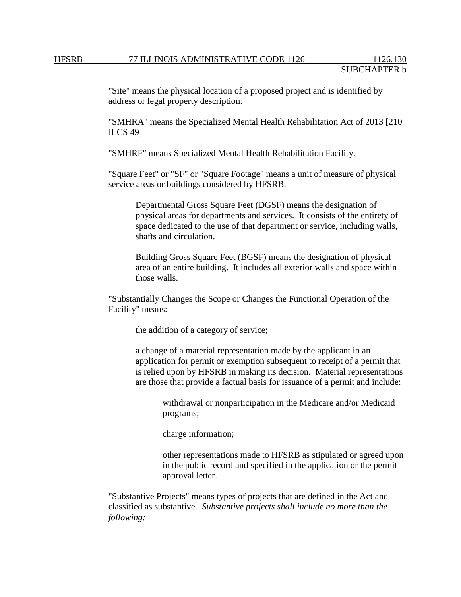"Site" means the physical location of a proposed project and is identified by address or legal property description.

"SMHRA" means the Specialized Mental Health Rehabilitation Act of 2013 [210 ILCS 49]

"SMHRF" means Specialized Mental Health Rehabilitation Facility.

"Square Feet" or "SF" or "Square Footage" means a unit of measure of physical service areas or buildings considered by HFSRB.

Departmental Gross Square Feet (DGSF) means the designation of physical areas for departments and services. It consists of the entirety of space dedicated to the use of that department or service, including walls, shafts and circulation.

Building Gross Square Feet (BGSF) means the designation of physical area of an entire building. It includes all exterior walls and space within those walls.

"Substantially Changes the Scope or Changes the Functional Operation of the Facility" means:

the addition of a category of service;

a change of a material representation made by the applicant in an application for permit or exemption subsequent to receipt of a permit that is relied upon by HFSRB in making its decision. Material representations are those that provide a factual basis for issuance of a permit and include:

> withdrawal or nonparticipation in the Medicare and/or Medicaid programs;

charge information;

other representations made to HFSRB as stipulated or agreed upon in the public record and specified in the application or the permit approval letter.

"Substantive Projects" means types of projects that are defined in the Act and classified as substantive. *Substantive projects shall include no more than the following:*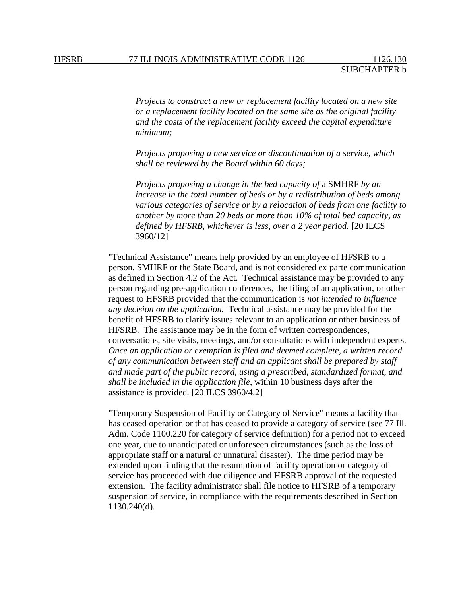*Projects to construct a new or replacement facility located on a new site or a replacement facility located on the same site as the original facility and the costs of the replacement facility exceed the capital expenditure minimum;*

*Projects proposing a new service or discontinuation of a service, which shall be reviewed by the Board within 60 days;*

*Projects proposing a change in the bed capacity of* a SMHRF *by an increase in the total number of beds or by a redistribution of beds among various categories of service or by a relocation of beds from one facility to another by more than 20 beds or more than 10% of total bed capacity, as defined by HFSRB, whichever is less, over a 2 year period.* [20 ILCS 3960/12]

"Technical Assistance" means help provided by an employee of HFSRB to a person, SMHRF or the State Board, and is not considered ex parte communication as defined in Section 4.2 of the Act. Technical assistance may be provided to any person regarding pre-application conferences, the filing of an application, or other request to HFSRB provided that the communication is *not intended to influence any decision on the application.* Technical assistance may be provided for the benefit of HFSRB to clarify issues relevant to an application or other business of HFSRB. The assistance may be in the form of written correspondences, conversations, site visits, meetings, and/or consultations with independent experts. *Once an application or exemption is filed and deemed complete, a written record of any communication between staff and an applicant shall be prepared by staff and made part of the public record, using a prescribed, standardized format, and shall be included in the application file*, within 10 business days after the assistance is provided*.* [20 ILCS 3960/4.2]

"Temporary Suspension of Facility or Category of Service" means a facility that has ceased operation or that has ceased to provide a category of service (see 77 Ill. Adm. Code 1100.220 for category of service definition) for a period not to exceed one year, due to unanticipated or unforeseen circumstances (such as the loss of appropriate staff or a natural or unnatural disaster). The time period may be extended upon finding that the resumption of facility operation or category of service has proceeded with due diligence and HFSRB approval of the requested extension. The facility administrator shall file notice to HFSRB of a temporary suspension of service, in compliance with the requirements described in Section 1130.240(d).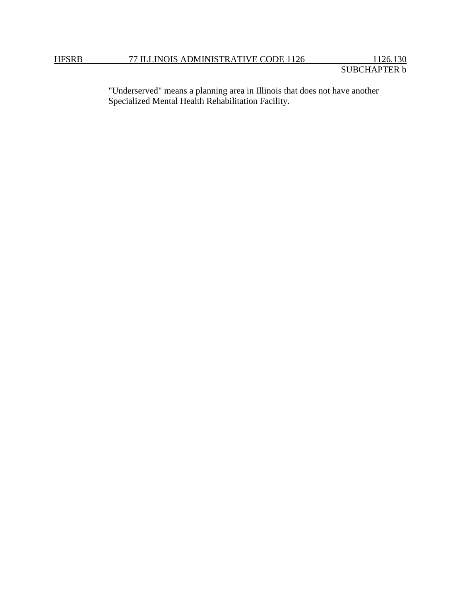"Underserved" means a planning area in Illinois that does not have another Specialized Mental Health Rehabilitation Facility.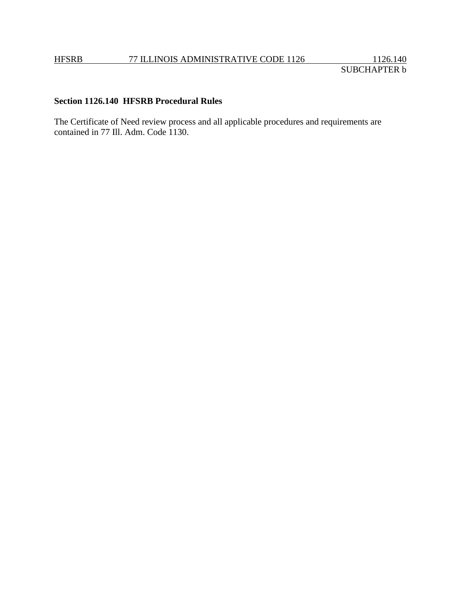# **Section 1126.140 HFSRB Procedural Rules**

The Certificate of Need review process and all applicable procedures and requirements are contained in 77 Ill. Adm. Code 1130.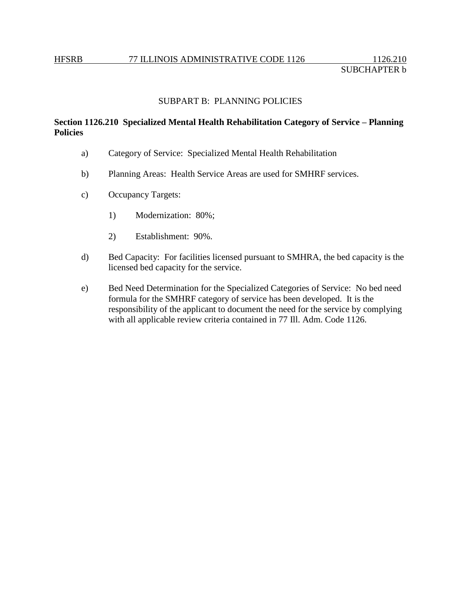## SUBPART B: PLANNING POLICIES

# **Section 1126.210 Specialized Mental Health Rehabilitation Category of Service – Planning Policies**

- a) Category of Service: Specialized Mental Health Rehabilitation
- b) Planning Areas: Health Service Areas are used for SMHRF services.
- c) Occupancy Targets:
	- 1) Modernization: 80%;
	- 2) Establishment: 90%.
- d) Bed Capacity: For facilities licensed pursuant to SMHRA, the bed capacity is the licensed bed capacity for the service.
- e) Bed Need Determination for the Specialized Categories of Service: No bed need formula for the SMHRF category of service has been developed. It is the responsibility of the applicant to document the need for the service by complying with all applicable review criteria contained in 77 Ill. Adm. Code 1126.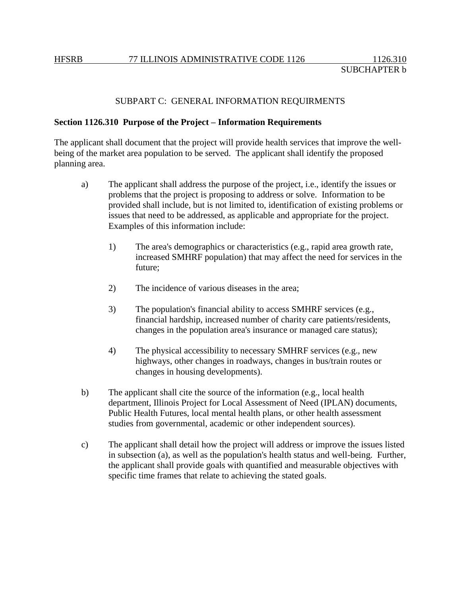### SUBPART C: GENERAL INFORMATION REQUIRMENTS

#### **Section 1126.310 Purpose of the Project – Information Requirements**

The applicant shall document that the project will provide health services that improve the wellbeing of the market area population to be served. The applicant shall identify the proposed planning area.

- a) The applicant shall address the purpose of the project, i.e., identify the issues or problems that the project is proposing to address or solve. Information to be provided shall include, but is not limited to, identification of existing problems or issues that need to be addressed, as applicable and appropriate for the project. Examples of this information include:
	- 1) The area's demographics or characteristics (e.g., rapid area growth rate, increased SMHRF population) that may affect the need for services in the future;
	- 2) The incidence of various diseases in the area;
	- 3) The population's financial ability to access SMHRF services (e.g., financial hardship, increased number of charity care patients/residents, changes in the population area's insurance or managed care status);
	- 4) The physical accessibility to necessary SMHRF services (e.g., new highways, other changes in roadways, changes in bus/train routes or changes in housing developments).
- b) The applicant shall cite the source of the information (e.g., local health department, Illinois Project for Local Assessment of Need (IPLAN) documents, Public Health Futures, local mental health plans, or other health assessment studies from governmental, academic or other independent sources).
- c) The applicant shall detail how the project will address or improve the issues listed in subsection (a), as well as the population's health status and well-being. Further, the applicant shall provide goals with quantified and measurable objectives with specific time frames that relate to achieving the stated goals.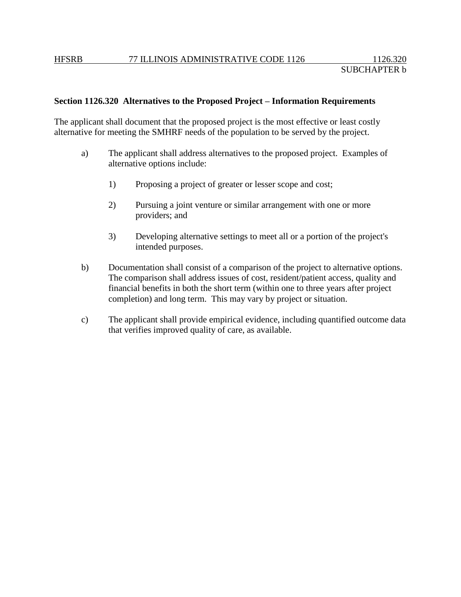# **Section 1126.320 Alternatives to the Proposed Project – Information Requirements**

The applicant shall document that the proposed project is the most effective or least costly alternative for meeting the SMHRF needs of the population to be served by the project.

- a) The applicant shall address alternatives to the proposed project. Examples of alternative options include:
	- 1) Proposing a project of greater or lesser scope and cost;
	- 2) Pursuing a joint venture or similar arrangement with one or more providers; and
	- 3) Developing alternative settings to meet all or a portion of the project's intended purposes.
- b) Documentation shall consist of a comparison of the project to alternative options. The comparison shall address issues of cost, resident/patient access, quality and financial benefits in both the short term (within one to three years after project completion) and long term. This may vary by project or situation.
- c) The applicant shall provide empirical evidence, including quantified outcome data that verifies improved quality of care, as available.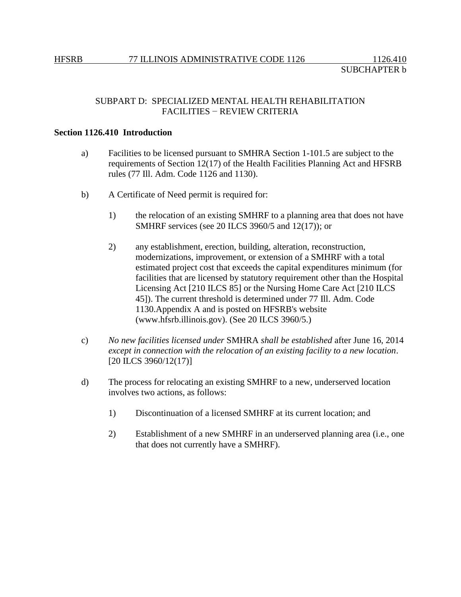# SUBPART D: SPECIALIZED MENTAL HEALTH REHABILITATION FACILITIES − REVIEW CRITERIA

## **Section 1126.410 Introduction**

- a) Facilities to be licensed pursuant to SMHRA Section 1-101.5 are subject to the requirements of Section 12(17) of the Health Facilities Planning Act and HFSRB rules (77 Ill. Adm. Code 1126 and 1130).
- b) A Certificate of Need permit is required for:
	- 1) the relocation of an existing SMHRF to a planning area that does not have SMHRF services (see 20 ILCS 3960/5 and 12(17)); or
	- 2) any establishment, erection, building, alteration, reconstruction, modernizations, improvement, or extension of a SMHRF with a total estimated project cost that exceeds the capital expenditures minimum (for facilities that are licensed by statutory requirement other than the Hospital Licensing Act [210 ILCS 85] or the Nursing Home Care Act [210 ILCS 45]). The current threshold is determined under 77 Ill. Adm. Code 1130.Appendix A and is posted on HFSRB's website (www.hfsrb.illinois.gov). (See 20 ILCS 3960/5.)
- c) *No new facilities licensed under* SMHRA *shall be established* after June 16, 2014 *except in connection with the relocation of an existing facility to a new location*. [20 ILCS 3960/12(17)]
- d) The process for relocating an existing SMHRF to a new, underserved location involves two actions, as follows:
	- 1) Discontinuation of a licensed SMHRF at its current location; and
	- 2) Establishment of a new SMHRF in an underserved planning area (i.e., one that does not currently have a SMHRF).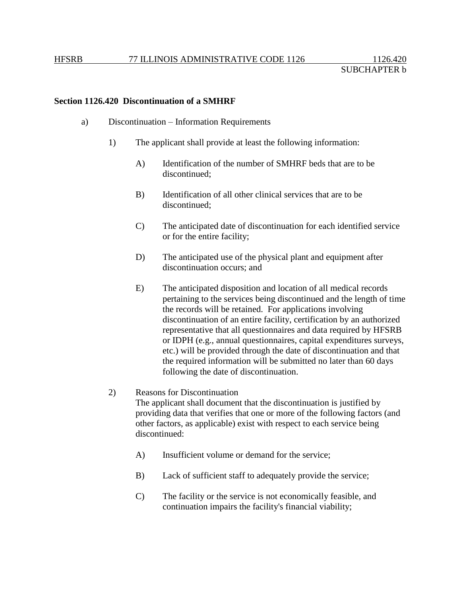### **Section 1126.420 Discontinuation of a SMHRF**

- a) Discontinuation Information Requirements
	- 1) The applicant shall provide at least the following information:
		- A) Identification of the number of SMHRF beds that are to be discontinued;
		- B) Identification of all other clinical services that are to be discontinued;
		- C) The anticipated date of discontinuation for each identified service or for the entire facility;
		- D) The anticipated use of the physical plant and equipment after discontinuation occurs; and
		- E) The anticipated disposition and location of all medical records pertaining to the services being discontinued and the length of time the records will be retained. For applications involving discontinuation of an entire facility, certification by an authorized representative that all questionnaires and data required by HFSRB or IDPH (e.g., annual questionnaires, capital expenditures surveys, etc.) will be provided through the date of discontinuation and that the required information will be submitted no later than 60 days following the date of discontinuation.

#### 2) Reasons for Discontinuation

The applicant shall document that the discontinuation is justified by providing data that verifies that one or more of the following factors (and other factors, as applicable) exist with respect to each service being discontinued:

- A) Insufficient volume or demand for the service;
- B) Lack of sufficient staff to adequately provide the service;
- C) The facility or the service is not economically feasible, and continuation impairs the facility's financial viability;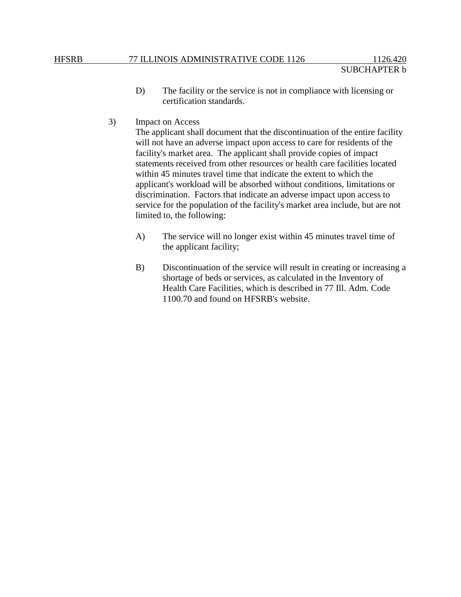- D) The facility or the service is not in compliance with licensing or certification standards.
- 3) Impact on Access

The applicant shall document that the discontinuation of the entire facility will not have an adverse impact upon access to care for residents of the facility's market area. The applicant shall provide copies of impact statements received from other resources or health care facilities located within 45 minutes travel time that indicate the extent to which the applicant's workload will be absorbed without conditions, limitations or discrimination. Factors that indicate an adverse impact upon access to service for the population of the facility's market area include, but are not limited to, the following:

- A) The service will no longer exist within 45 minutes travel time of the applicant facility;
- B) Discontinuation of the service will result in creating or increasing a shortage of beds or services, as calculated in the Inventory of Health Care Facilities, which is described in 77 Ill. Adm. Code 1100.70 and found on HFSRB's website.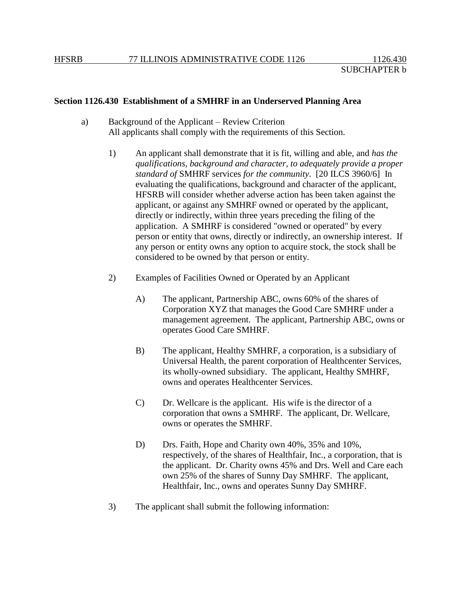#### **Section 1126.430 Establishment of a SMHRF in an Underserved Planning Area**

- a) Background of the Applicant Review Criterion All applicants shall comply with the requirements of this Section.
	- 1) An applicant shall demonstrate that it is fit, willing and able, and *has the qualifications, background and character, to adequately provide a proper standard of* SMHRF services *for the community*. [20 ILCS 3960/6] In evaluating the qualifications, background and character of the applicant, HFSRB will consider whether adverse action has been taken against the applicant, or against any SMHRF owned or operated by the applicant, directly or indirectly, within three years preceding the filing of the application. A SMHRF is considered "owned or operated" by every person or entity that owns, directly or indirectly, an ownership interest. If any person or entity owns any option to acquire stock, the stock shall be considered to be owned by that person or entity.
	- 2) Examples of Facilities Owned or Operated by an Applicant
		- A) The applicant, Partnership ABC, owns 60% of the shares of Corporation XYZ that manages the Good Care SMHRF under a management agreement. The applicant, Partnership ABC, owns or operates Good Care SMHRF.
		- B) The applicant, Healthy SMHRF, a corporation, is a subsidiary of Universal Health, the parent corporation of Healthcenter Services, its wholly-owned subsidiary. The applicant, Healthy SMHRF, owns and operates Healthcenter Services.
		- C) Dr. Wellcare is the applicant. His wife is the director of a corporation that owns a SMHRF. The applicant, Dr. Wellcare, owns or operates the SMHRF.
		- D) Drs. Faith, Hope and Charity own 40%, 35% and 10%, respectively, of the shares of Healthfair, Inc., a corporation, that is the applicant. Dr. Charity owns 45% and Drs. Well and Care each own 25% of the shares of Sunny Day SMHRF. The applicant, Healthfair, Inc., owns and operates Sunny Day SMHRF.
	- 3) The applicant shall submit the following information: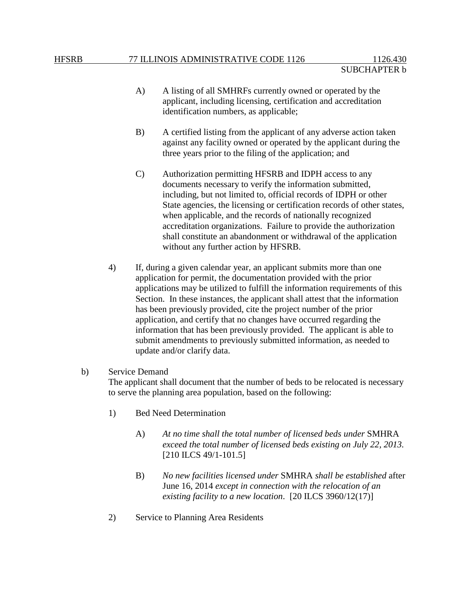- A) A listing of all SMHRFs currently owned or operated by the applicant, including licensing, certification and accreditation identification numbers, as applicable;
- B) A certified listing from the applicant of any adverse action taken against any facility owned or operated by the applicant during the three years prior to the filing of the application; and
- C) Authorization permitting HFSRB and IDPH access to any documents necessary to verify the information submitted, including, but not limited to, official records of IDPH or other State agencies, the licensing or certification records of other states, when applicable, and the records of nationally recognized accreditation organizations. Failure to provide the authorization shall constitute an abandonment or withdrawal of the application without any further action by HFSRB.
- 4) If, during a given calendar year, an applicant submits more than one application for permit, the documentation provided with the prior applications may be utilized to fulfill the information requirements of this Section. In these instances, the applicant shall attest that the information has been previously provided, cite the project number of the prior application, and certify that no changes have occurred regarding the information that has been previously provided. The applicant is able to submit amendments to previously submitted information, as needed to update and/or clarify data.

### b) Service Demand

The applicant shall document that the number of beds to be relocated is necessary to serve the planning area population, based on the following:

- 1) Bed Need Determination
	- A) *At no time shall the total number of licensed beds under* SMHRA *exceed the total number of licensed beds existing on July 22, 2013.*  [210 ILCS 49/1-101.5]
	- B) *No new facilities licensed under* SMHRA *shall be established* after June 16, 2014 *except in connection with the relocation of an existing facility to a new location*. [20 ILCS 3960/12(17)]
- 2) Service to Planning Area Residents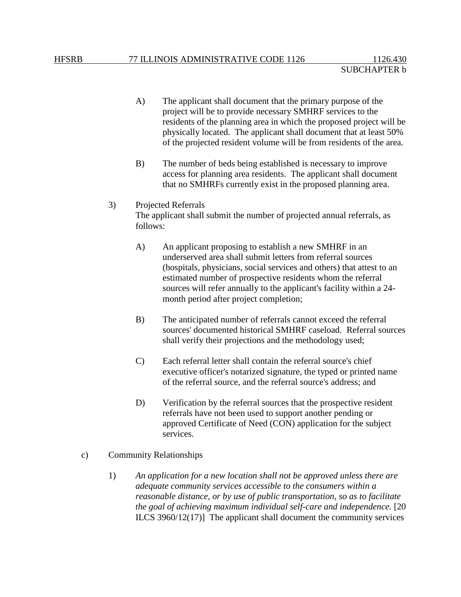- A) The applicant shall document that the primary purpose of the project will be to provide necessary SMHRF services to the residents of the planning area in which the proposed project will be physically located. The applicant shall document that at least 50% of the projected resident volume will be from residents of the area.
- B) The number of beds being established is necessary to improve access for planning area residents. The applicant shall document that no SMHRFs currently exist in the proposed planning area.

# 3) Projected Referrals The applicant shall submit the number of projected annual referrals, as follows:

- A) An applicant proposing to establish a new SMHRF in an underserved area shall submit letters from referral sources (hospitals, physicians, social services and others) that attest to an estimated number of prospective residents whom the referral sources will refer annually to the applicant's facility within a 24 month period after project completion;
- B) The anticipated number of referrals cannot exceed the referral sources' documented historical SMHRF caseload. Referral sources shall verify their projections and the methodology used;
- C) Each referral letter shall contain the referral source's chief executive officer's notarized signature, the typed or printed name of the referral source, and the referral source's address; and
- D) Verification by the referral sources that the prospective resident referrals have not been used to support another pending or approved Certificate of Need (CON) application for the subject services.
- c) Community Relationships
	- 1) *An application for a new location shall not be approved unless there are adequate community services accessible to the consumers within a reasonable distance, or by use of public transportation, so as to facilitate the goal of achieving maximum individual self-care and independence.* [20 ILCS 3960/12(17)] The applicant shall document the community services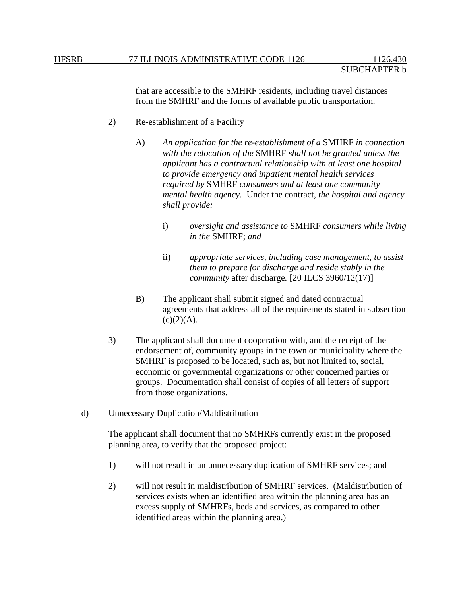that are accessible to the SMHRF residents, including travel distances from the SMHRF and the forms of available public transportation.

- 2) Re-establishment of a Facility
	- A) *An application for the re-establishment of a* SMHRF *in connection with the relocation of the* SMHRF *shall not be granted unless the applicant has a contractual relationship with at least one hospital to provide emergency and inpatient mental health services required by* SMHRF *consumers and at least one community mental health agency.* Under the contract, *the hospital and agency shall provide:*
		- i) *oversight and assistance to* SMHRF *consumers while living in the* SMHRF; *and*
		- ii) *appropriate services, including case management, to assist them to prepare for discharge and reside stably in the community* after discharge*.* [20 ILCS 3960/12(17)]
	- B) The applicant shall submit signed and dated contractual agreements that address all of the requirements stated in subsection  $(c)(2)(A).$
- 3) The applicant shall document cooperation with, and the receipt of the endorsement of, community groups in the town or municipality where the SMHRF is proposed to be located, such as, but not limited to, social, economic or governmental organizations or other concerned parties or groups. Documentation shall consist of copies of all letters of support from those organizations.
- d) Unnecessary Duplication/Maldistribution

The applicant shall document that no SMHRFs currently exist in the proposed planning area, to verify that the proposed project:

- 1) will not result in an unnecessary duplication of SMHRF services; and
- 2) will not result in maldistribution of SMHRF services. (Maldistribution of services exists when an identified area within the planning area has an excess supply of SMHRFs, beds and services, as compared to other identified areas within the planning area.)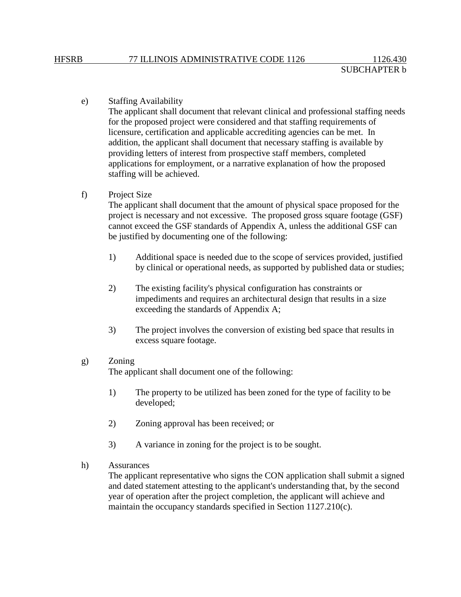#### e) Staffing Availability

The applicant shall document that relevant clinical and professional staffing needs for the proposed project were considered and that staffing requirements of licensure, certification and applicable accrediting agencies can be met. In addition, the applicant shall document that necessary staffing is available by providing letters of interest from prospective staff members, completed applications for employment, or a narrative explanation of how the proposed staffing will be achieved.

### f) Project Size

The applicant shall document that the amount of physical space proposed for the project is necessary and not excessive. The proposed gross square footage (GSF) cannot exceed the GSF standards of Appendix A, unless the additional GSF can be justified by documenting one of the following:

- 1) Additional space is needed due to the scope of services provided, justified by clinical or operational needs, as supported by published data or studies;
- 2) The existing facility's physical configuration has constraints or impediments and requires an architectural design that results in a size exceeding the standards of Appendix A;
- 3) The project involves the conversion of existing bed space that results in excess square footage.

#### g) Zoning

The applicant shall document one of the following:

- 1) The property to be utilized has been zoned for the type of facility to be developed;
- 2) Zoning approval has been received; or
- 3) A variance in zoning for the project is to be sought.
- h) Assurances

The applicant representative who signs the CON application shall submit a signed and dated statement attesting to the applicant's understanding that, by the second year of operation after the project completion, the applicant will achieve and maintain the occupancy standards specified in Section 1127.210(c).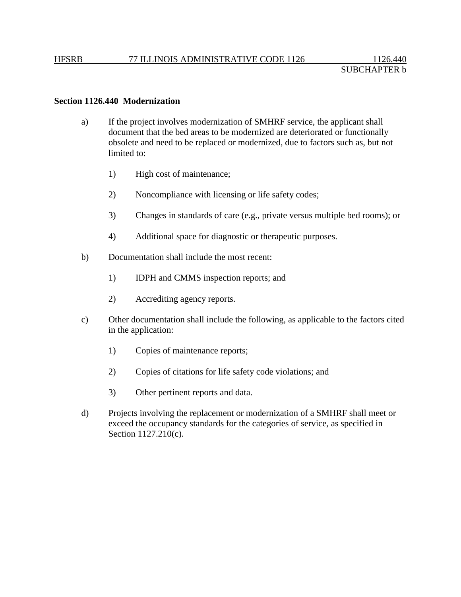## **Section 1126.440 Modernization**

- a) If the project involves modernization of SMHRF service, the applicant shall document that the bed areas to be modernized are deteriorated or functionally obsolete and need to be replaced or modernized, due to factors such as, but not limited to:
	- 1) High cost of maintenance;
	- 2) Noncompliance with licensing or life safety codes;
	- 3) Changes in standards of care (e.g., private versus multiple bed rooms); or
	- 4) Additional space for diagnostic or therapeutic purposes.
- b) Documentation shall include the most recent:
	- 1) IDPH and CMMS inspection reports; and
	- 2) Accrediting agency reports.
- c) Other documentation shall include the following, as applicable to the factors cited in the application:
	- 1) Copies of maintenance reports;
	- 2) Copies of citations for life safety code violations; and
	- 3) Other pertinent reports and data.
- d) Projects involving the replacement or modernization of a SMHRF shall meet or exceed the occupancy standards for the categories of service, as specified in Section 1127.210(c).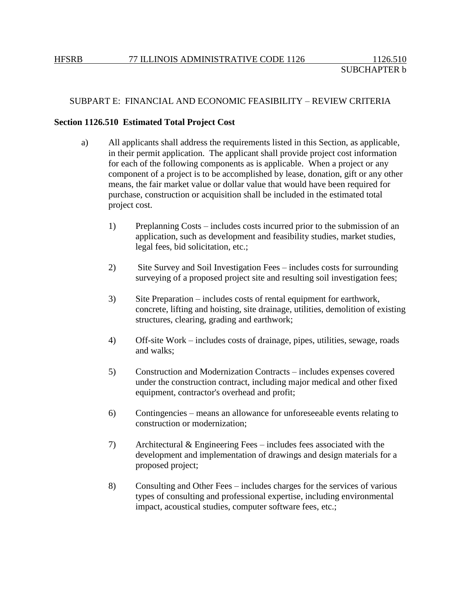# SUBPART E: FINANCIAL AND ECONOMIC FEASIBILITY – REVIEW CRITERIA

#### **Section 1126.510 Estimated Total Project Cost**

- a) All applicants shall address the requirements listed in this Section, as applicable, in their permit application. The applicant shall provide project cost information for each of the following components as is applicable. When a project or any component of a project is to be accomplished by lease, donation, gift or any other means, the fair market value or dollar value that would have been required for purchase, construction or acquisition shall be included in the estimated total project cost.
	- 1) Preplanning Costs includes costs incurred prior to the submission of an application, such as development and feasibility studies, market studies, legal fees, bid solicitation, etc.;
	- 2) Site Survey and Soil Investigation Fees includes costs for surrounding surveying of a proposed project site and resulting soil investigation fees;
	- 3) Site Preparation includes costs of rental equipment for earthwork, concrete, lifting and hoisting, site drainage, utilities, demolition of existing structures, clearing, grading and earthwork;
	- 4) Off-site Work includes costs of drainage, pipes, utilities, sewage, roads and walks;
	- 5) Construction and Modernization Contracts includes expenses covered under the construction contract, including major medical and other fixed equipment, contractor's overhead and profit;
	- 6) Contingencies means an allowance for unforeseeable events relating to construction or modernization;
	- 7) Architectural & Engineering Fees includes fees associated with the development and implementation of drawings and design materials for a proposed project;
	- 8) Consulting and Other Fees includes charges for the services of various types of consulting and professional expertise, including environmental impact, acoustical studies, computer software fees, etc.;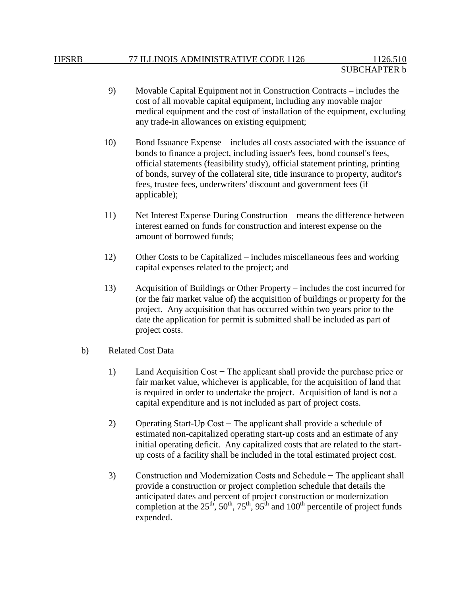- 9) Movable Capital Equipment not in Construction Contracts includes the cost of all movable capital equipment, including any movable major medical equipment and the cost of installation of the equipment, excluding any trade-in allowances on existing equipment;
- 10) Bond Issuance Expense includes all costs associated with the issuance of bonds to finance a project, including issuer's fees, bond counsel's fees, official statements (feasibility study), official statement printing, printing of bonds, survey of the collateral site, title insurance to property, auditor's fees, trustee fees, underwriters' discount and government fees (if applicable);
- 11) Net Interest Expense During Construction means the difference between interest earned on funds for construction and interest expense on the amount of borrowed funds;
- 12) Other Costs to be Capitalized includes miscellaneous fees and working capital expenses related to the project; and
- 13) Acquisition of Buildings or Other Property includes the cost incurred for (or the fair market value of) the acquisition of buildings or property for the project. Any acquisition that has occurred within two years prior to the date the application for permit is submitted shall be included as part of project costs.
- b) Related Cost Data
	- 1) Land Acquisition Cost − The applicant shall provide the purchase price or fair market value, whichever is applicable, for the acquisition of land that is required in order to undertake the project. Acquisition of land is not a capital expenditure and is not included as part of project costs.
	- 2) Operating Start-Up Cost − The applicant shall provide a schedule of estimated non-capitalized operating start-up costs and an estimate of any initial operating deficit. Any capitalized costs that are related to the startup costs of a facility shall be included in the total estimated project cost.
	- 3) Construction and Modernization Costs and Schedule − The applicant shall provide a construction or project completion schedule that details the anticipated dates and percent of project construction or modernization completion at the  $25^{th}$ ,  $50^{th}$ ,  $75^{th}$ ,  $95^{th}$  and  $100^{th}$  percentile of project funds expended.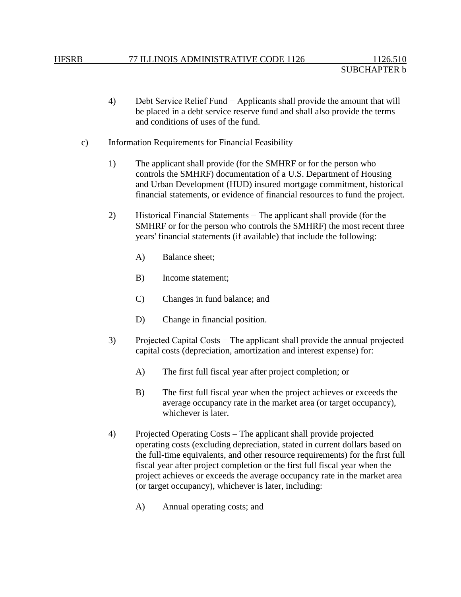- 4) Debt Service Relief Fund − Applicants shall provide the amount that will be placed in a debt service reserve fund and shall also provide the terms and conditions of uses of the fund.
- c) Information Requirements for Financial Feasibility
	- 1) The applicant shall provide (for the SMHRF or for the person who controls the SMHRF) documentation of a U.S. Department of Housing and Urban Development (HUD) insured mortgage commitment, historical financial statements, or evidence of financial resources to fund the project.
	- 2) Historical Financial Statements − The applicant shall provide (for the SMHRF or for the person who controls the SMHRF) the most recent three years' financial statements (if available) that include the following:
		- A) Balance sheet;
		- B) Income statement;
		- C) Changes in fund balance; and
		- D) Change in financial position.
	- 3) Projected Capital Costs − The applicant shall provide the annual projected capital costs (depreciation, amortization and interest expense) for:
		- A) The first full fiscal year after project completion; or
		- B) The first full fiscal year when the project achieves or exceeds the average occupancy rate in the market area (or target occupancy), whichever is later.
	- 4) Projected Operating Costs The applicant shall provide projected operating costs (excluding depreciation, stated in current dollars based on the full-time equivalents, and other resource requirements) for the first full fiscal year after project completion or the first full fiscal year when the project achieves or exceeds the average occupancy rate in the market area (or target occupancy), whichever is later, including:
		- A) Annual operating costs; and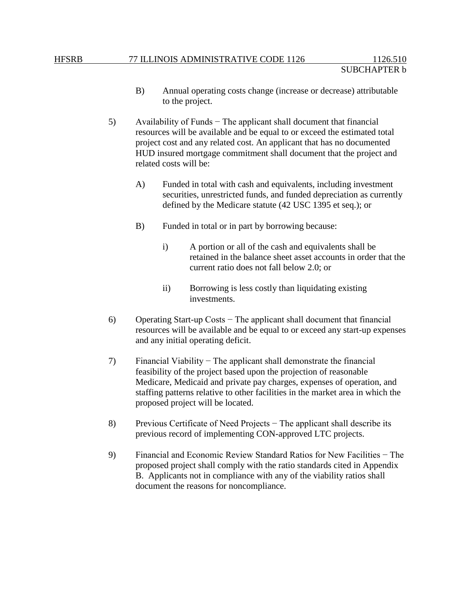#### HFSRB 77 ILLINOIS ADMINISTRATIVE CODE 1126 1126.510

- B) Annual operating costs change (increase or decrease) attributable to the project.
- 5) Availability of Funds − The applicant shall document that financial resources will be available and be equal to or exceed the estimated total project cost and any related cost. An applicant that has no documented HUD insured mortgage commitment shall document that the project and related costs will be:
	- A) Funded in total with cash and equivalents, including investment securities, unrestricted funds, and funded depreciation as currently defined by the Medicare statute (42 USC 1395 et seq.); or
	- B) Funded in total or in part by borrowing because:
		- i) A portion or all of the cash and equivalents shall be retained in the balance sheet asset accounts in order that the current ratio does not fall below 2.0; or
		- ii) Borrowing is less costly than liquidating existing investments.
- 6) Operating Start-up Costs − The applicant shall document that financial resources will be available and be equal to or exceed any start-up expenses and any initial operating deficit.
- 7) Financial Viability − The applicant shall demonstrate the financial feasibility of the project based upon the projection of reasonable Medicare, Medicaid and private pay charges, expenses of operation, and staffing patterns relative to other facilities in the market area in which the proposed project will be located.
- 8) Previous Certificate of Need Projects − The applicant shall describe its previous record of implementing CON-approved LTC projects.
- 9) Financial and Economic Review Standard Ratios for New Facilities − The proposed project shall comply with the ratio standards cited in Appendix B. Applicants not in compliance with any of the viability ratios shall document the reasons for noncompliance.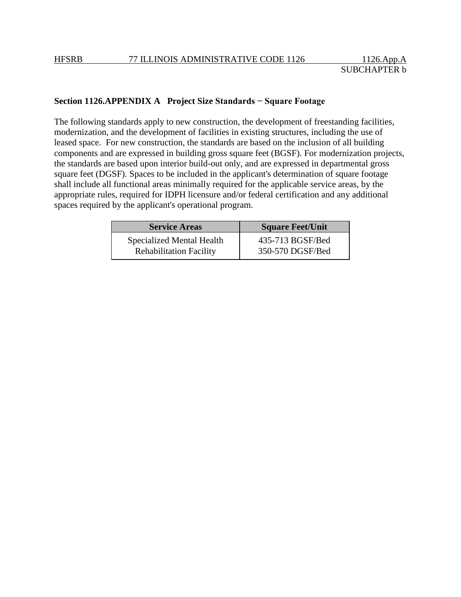# **Section 1126.APPENDIX A Project Size Standards − Square Footage**

The following standards apply to new construction, the development of freestanding facilities, modernization, and the development of facilities in existing structures, including the use of leased space. For new construction, the standards are based on the inclusion of all building components and are expressed in building gross square feet (BGSF). For modernization projects, the standards are based upon interior build-out only, and are expressed in departmental gross square feet (DGSF). Spaces to be included in the applicant's determination of square footage shall include all functional areas minimally required for the applicable service areas, by the appropriate rules, required for IDPH licensure and/or federal certification and any additional spaces required by the applicant's operational program.

| <b>Service Areas</b>             | <b>Square Feet/Unit</b> |
|----------------------------------|-------------------------|
| <b>Specialized Mental Health</b> | 435-713 BGSF/Bed        |
| <b>Rehabilitation Facility</b>   | 350-570 DGSF/Bed        |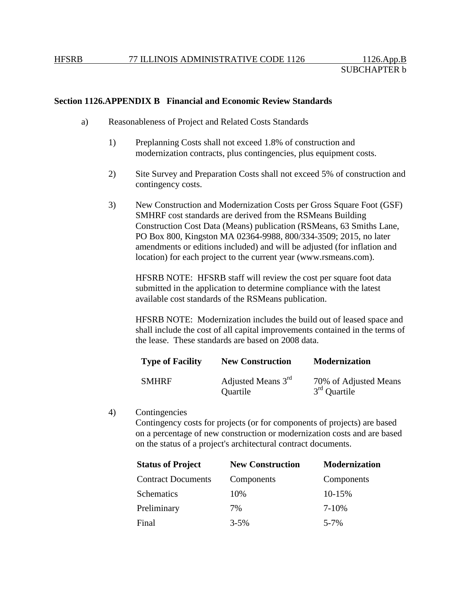# **Section 1126.APPENDIX B Financial and Economic Review Standards**

- a) Reasonableness of Project and Related Costs Standards
	- 1) Preplanning Costs shall not exceed 1.8% of construction and modernization contracts, plus contingencies, plus equipment costs.
	- 2) Site Survey and Preparation Costs shall not exceed 5% of construction and contingency costs.
	- 3) New Construction and Modernization Costs per Gross Square Foot (GSF) SMHRF cost standards are derived from the RSMeans Building Construction Cost Data (Means) publication (RSMeans, 63 Smiths Lane, PO Box 800, Kingston MA 02364-9988, 800/334-3509; 2015, no later amendments or editions included) and will be adjusted (for inflation and location) for each project to the current year (www.rsmeans.com).

HFSRB NOTE: HFSRB staff will review the cost per square foot data submitted in the application to determine compliance with the latest available cost standards of the RSMeans publication.

HFSRB NOTE: Modernization includes the build out of leased space and shall include the cost of all capital improvements contained in the terms of the lease. These standards are based on 2008 data.

| <b>Type of Facility</b> | <b>New Construction</b>        | <b>Modernization</b>                    |
|-------------------------|--------------------------------|-----------------------------------------|
| <b>SMHRF</b>            | Adjusted Means 3rd<br>Quartile | 70% of Adjusted Means<br>$3rd$ Quartile |

4) Contingencies

Contingency costs for projects (or for components of projects) are based on a percentage of new construction or modernization costs and are based on the status of a project's architectural contract documents.

| <b>Status of Project</b>  | <b>New Construction</b> | <b>Modernization</b> |
|---------------------------|-------------------------|----------------------|
| <b>Contract Documents</b> | Components              | Components           |
| Schematics                | 10%                     | 10-15%               |
| Preliminary               | 7%                      | 7-10%                |
| Final                     | $3 - 5\%$               | $5 - 7\%$            |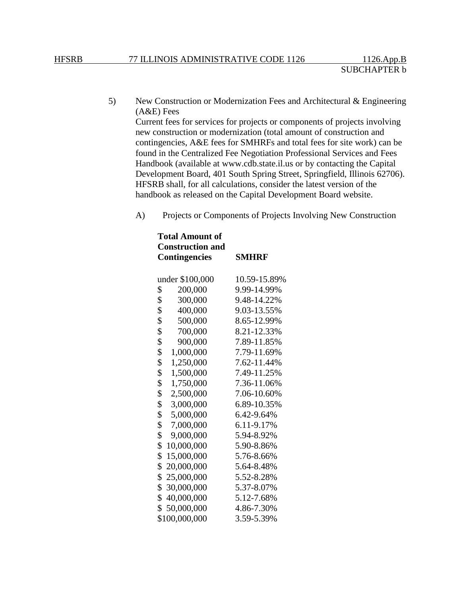5) New Construction or Modernization Fees and Architectural & Engineering (A&E) Fees

Current fees for services for projects or components of projects involving new construction or modernization (total amount of construction and contingencies, A&E fees for SMHRFs and total fees for site work) can be found in the Centralized Fee Negotiation Professional Services and Fees Handbook (available at www.cdb.state.il.us or by contacting the Capital Development Board, 401 South Spring Street, Springfield, Illinois 62706). HFSRB shall, for all calculations, consider the latest version of the handbook as released on the Capital Development Board website.

A) Projects or Components of Projects Involving New Construction

| <b>Total Amount of</b><br><b>Construction and</b> |              |  |
|---------------------------------------------------|--------------|--|
| <b>Contingencies</b>                              | <b>SMHRF</b> |  |
| under \$100,000                                   | 10.59-15.89% |  |
| \$<br>200,000                                     | 9.99-14.99%  |  |
| \$<br>300,000                                     | 9.48-14.22%  |  |
| \$<br>400,000                                     | 9.03-13.55%  |  |
| \$<br>500,000                                     | 8.65-12.99%  |  |
| \$<br>700,000                                     | 8.21-12.33%  |  |
| \$<br>900,000                                     | 7.89-11.85%  |  |
| \$<br>1,000,000                                   | 7.79-11.69%  |  |
| \$<br>1,250,000                                   | 7.62-11.44%  |  |
| \$<br>1,500,000                                   | 7.49-11.25%  |  |
| \$<br>1,750,000                                   | 7.36-11.06%  |  |
| \$<br>2,500,000                                   | 7.06-10.60%  |  |
| \$<br>3,000,000                                   | 6.89-10.35%  |  |
| \$<br>5,000,000                                   | 6.42-9.64%   |  |
| \$<br>7,000,000                                   | 6.11-9.17%   |  |
| \$<br>9,000,000                                   | 5.94-8.92%   |  |
| \$<br>10,000,000                                  | 5.90-8.86%   |  |
| \$<br>15,000,000                                  | 5.76-8.66%   |  |
| \$<br>20,000,000                                  | 5.64-8.48%   |  |
| \$<br>25,000,000                                  | 5.52-8.28%   |  |
| \$<br>30,000,000                                  | 5.37-8.07%   |  |
| \$<br>40,000,000                                  | 5.12-7.68%   |  |
| \$<br>50,000,000                                  | 4.86-7.30%   |  |
| \$100,000,000                                     | 3.59-5.39%   |  |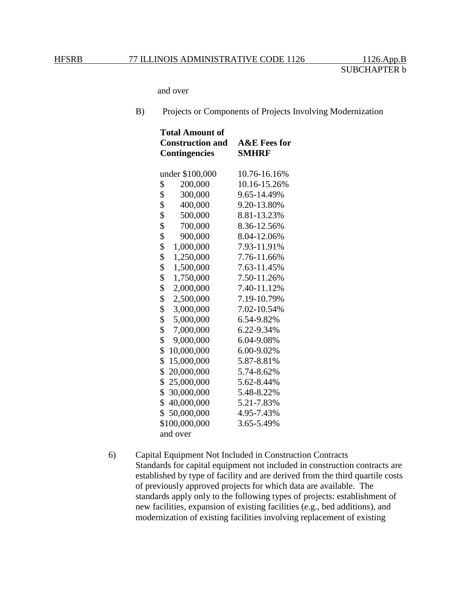and over

B) Projects or Components of Projects Involving Modernization

| <b>Total Amount of</b>  |                         |  |  |
|-------------------------|-------------------------|--|--|
| <b>Construction and</b> | <b>A&amp;E</b> Fees for |  |  |
| <b>Contingencies</b>    | <b>SMHRF</b>            |  |  |
|                         |                         |  |  |
| under \$100,000         | 10.76-16.16%            |  |  |
| \$<br>200,000           | 10.16-15.26%            |  |  |
| \$<br>300,000           | 9.65-14.49%             |  |  |
| \$<br>400,000           | 9.20-13.80%             |  |  |
| \$<br>500,000           | 8.81-13.23%             |  |  |
| \$<br>700,000           | 8.36-12.56%             |  |  |
| \$<br>900,000           | 8.04-12.06%             |  |  |
| \$<br>1,000,000         | 7.93-11.91%             |  |  |
| \$<br>1,250,000         | 7.76-11.66%             |  |  |
| \$<br>1,500,000         | 7.63-11.45%             |  |  |
| \$<br>1,750,000         | 7.50-11.26%             |  |  |
| \$<br>2,000,000         | 7.40-11.12%             |  |  |
| \$<br>2,500,000         | 7.19-10.79%             |  |  |
| \$<br>3,000,000         | 7.02-10.54%             |  |  |
| \$<br>5,000,000         | 6.54-9.82%              |  |  |
| \$<br>7,000,000         | 6.22-9.34%              |  |  |
| \$<br>9,000,000         | 6.04-9.08%              |  |  |
| \$<br>10,000,000        | 6.00-9.02%              |  |  |
| \$<br>15,000,000        | 5.87-8.81%              |  |  |
| \$<br>20,000,000        | 5.74-8.62%              |  |  |
| \$<br>25,000,000        | 5.62-8.44%              |  |  |
| \$<br>30,000,000        | 5.48-8.22%              |  |  |
| \$<br>40,000,000        | 5.21-7.83%              |  |  |
| \$<br>50,000,000        | 4.95-7.43%              |  |  |
| \$100,000,000           | 3.65-5.49%              |  |  |
| and over                |                         |  |  |

6) Capital Equipment Not Included in Construction Contracts Standards for capital equipment not included in construction contracts are established by type of facility and are derived from the third quartile costs of previously approved projects for which data are available. The standards apply only to the following types of projects: establishment of new facilities, expansion of existing facilities (e.g., bed additions), and modernization of existing facilities involving replacement of existing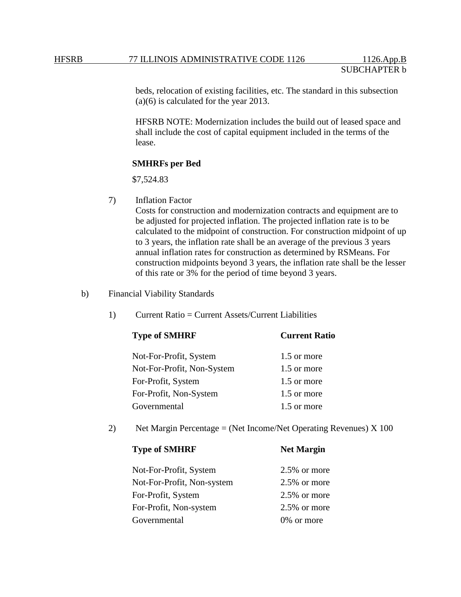beds, relocation of existing facilities, etc. The standard in this subsection (a)(6) is calculated for the year 2013.

HFSRB NOTE: Modernization includes the build out of leased space and shall include the cost of capital equipment included in the terms of the lease.

### **SMHRFs per Bed**

\$7,524.83

7) Inflation Factor

Costs for construction and modernization contracts and equipment are to be adjusted for projected inflation. The projected inflation rate is to be calculated to the midpoint of construction. For construction midpoint of up to 3 years, the inflation rate shall be an average of the previous 3 years annual inflation rates for construction as determined by RSMeans. For construction midpoints beyond 3 years, the inflation rate shall be the lesser of this rate or 3% for the period of time beyond 3 years.

b) Financial Viability Standards

1) Current Ratio = Current Assets/Current Liabilities

| <b>Type of SMHRF</b>       | <b>Current Ratio</b> |  |
|----------------------------|----------------------|--|
| Not-For-Profit, System     | 1.5 or more          |  |
| Not-For-Profit, Non-System | 1.5 or more          |  |
| For-Profit, System         | 1.5 or more          |  |
| For-Profit, Non-System     | 1.5 or more          |  |
| Governmental               | 1.5 or more          |  |

2) Net Margin Percentage = (Net Income/Net Operating Revenues) X 100

| THE THEFTH   |
|--------------|
| 2.5% or more |
| 2.5% or more |
| 2.5% or more |
| 2.5% or more |
| 0% or more   |
|              |

**Type of SMHRF Net Margin**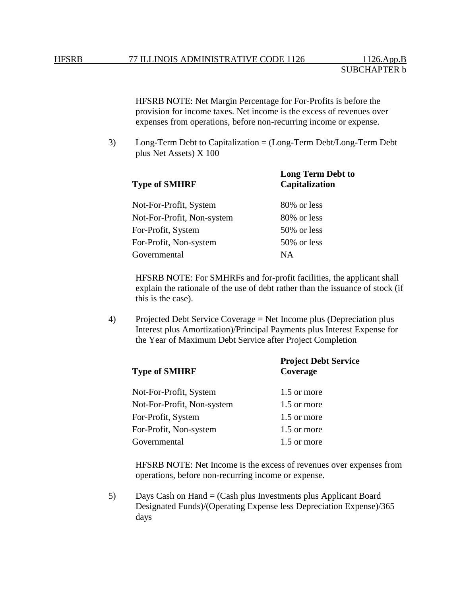HFSRB NOTE: Net Margin Percentage for For-Profits is before the provision for income taxes. Net income is the excess of revenues over expenses from operations, before non-recurring income or expense.

3) Long-Term Debt to Capitalization = (Long-Term Debt/Long-Term Debt plus Net Assets) X 100

| <b>Type of SMHRF</b>       | <b>Long Term Debt to</b><br>Capitalization |  |
|----------------------------|--------------------------------------------|--|
| Not-For-Profit, System     | 80% or less                                |  |
| Not-For-Profit, Non-system | 80% or less                                |  |
| For-Profit, System         | 50% or less                                |  |
| For-Profit, Non-system     | 50% or less                                |  |
| Governmental               | NА                                         |  |

HFSRB NOTE: For SMHRFs and for-profit facilities, the applicant shall explain the rationale of the use of debt rather than the issuance of stock (if this is the case).

4) Projected Debt Service Coverage = Net Income plus (Depreciation plus Interest plus Amortization)/Principal Payments plus Interest Expense for the Year of Maximum Debt Service after Project Completion

| <b>Type of SMHRF</b>       | <b>Project Debt Service</b><br>Coverage |  |
|----------------------------|-----------------------------------------|--|
| Not-For-Profit, System     | 1.5 or more                             |  |
| Not-For-Profit, Non-system | 1.5 or more                             |  |
| For-Profit, System         | 1.5 or more                             |  |
| For-Profit, Non-system     | 1.5 or more                             |  |
| Governmental               | 1.5 or more                             |  |

HFSRB NOTE: Net Income is the excess of revenues over expenses from operations, before non-recurring income or expense.

5) Days Cash on Hand = (Cash plus Investments plus Applicant Board Designated Funds)/(Operating Expense less Depreciation Expense)/365 days